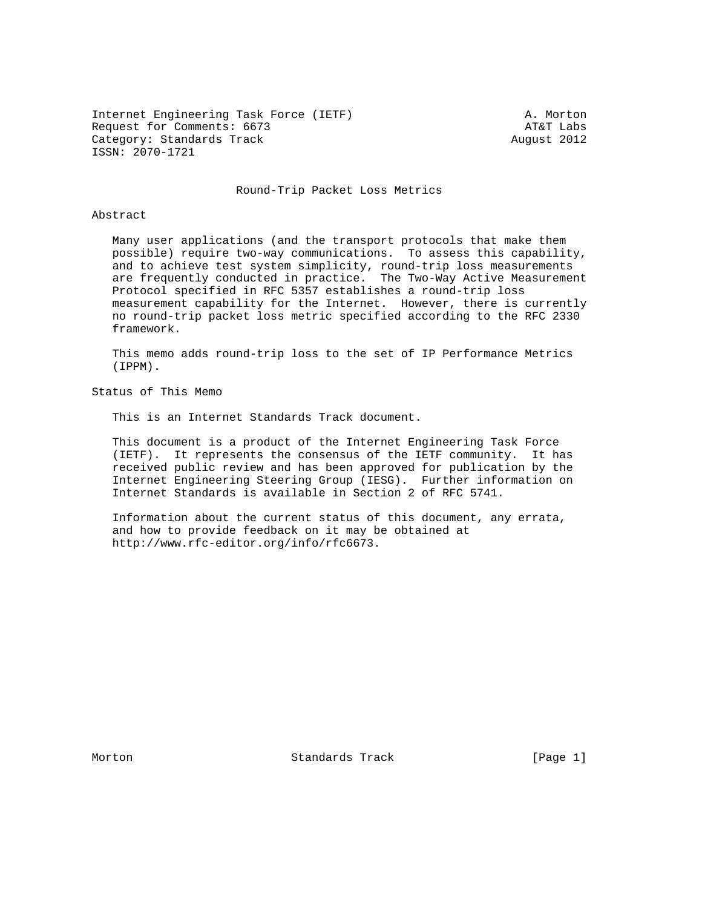Internet Engineering Task Force (IETF) A. Morton Request for Comments: 6673 AT&T Labs Category: Standards Track August 2012 ISSN: 2070-1721

## Round-Trip Packet Loss Metrics

## Abstract

 Many user applications (and the transport protocols that make them possible) require two-way communications. To assess this capability, and to achieve test system simplicity, round-trip loss measurements are frequently conducted in practice. The Two-Way Active Measurement Protocol specified in RFC 5357 establishes a round-trip loss measurement capability for the Internet. However, there is currently no round-trip packet loss metric specified according to the RFC 2330 framework.

 This memo adds round-trip loss to the set of IP Performance Metrics (IPPM).

Status of This Memo

This is an Internet Standards Track document.

 This document is a product of the Internet Engineering Task Force (IETF). It represents the consensus of the IETF community. It has received public review and has been approved for publication by the Internet Engineering Steering Group (IESG). Further information on Internet Standards is available in Section 2 of RFC 5741.

 Information about the current status of this document, any errata, and how to provide feedback on it may be obtained at http://www.rfc-editor.org/info/rfc6673.

Morton **Standards Track** [Page 1]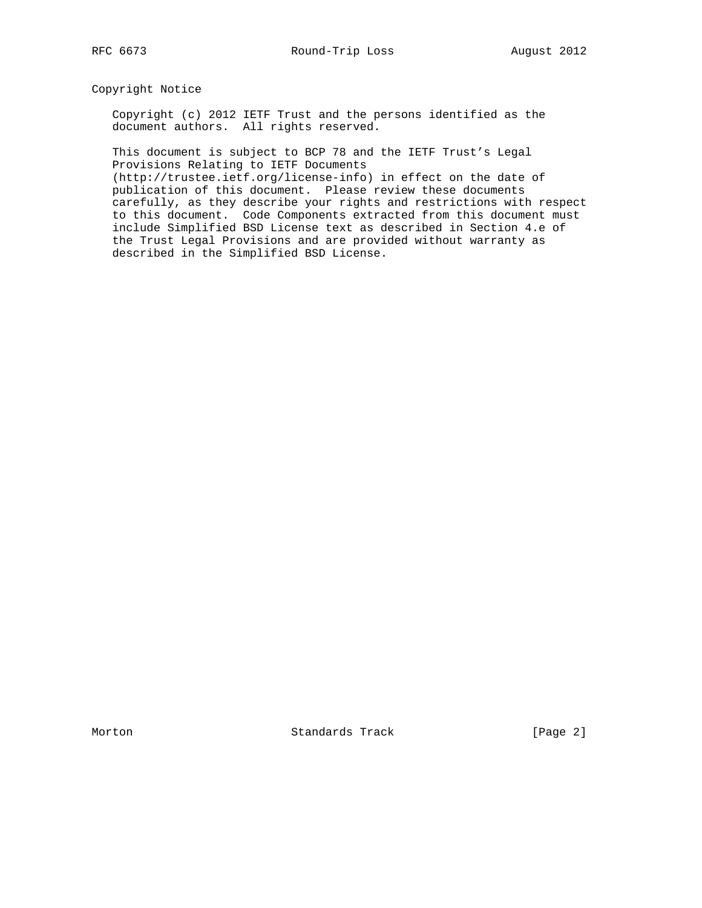Copyright Notice

 Copyright (c) 2012 IETF Trust and the persons identified as the document authors. All rights reserved.

 This document is subject to BCP 78 and the IETF Trust's Legal Provisions Relating to IETF Documents

 (http://trustee.ietf.org/license-info) in effect on the date of publication of this document. Please review these documents carefully, as they describe your rights and restrictions with respect to this document. Code Components extracted from this document must include Simplified BSD License text as described in Section 4.e of the Trust Legal Provisions and are provided without warranty as described in the Simplified BSD License.

Morton **Standards Track** [Page 2]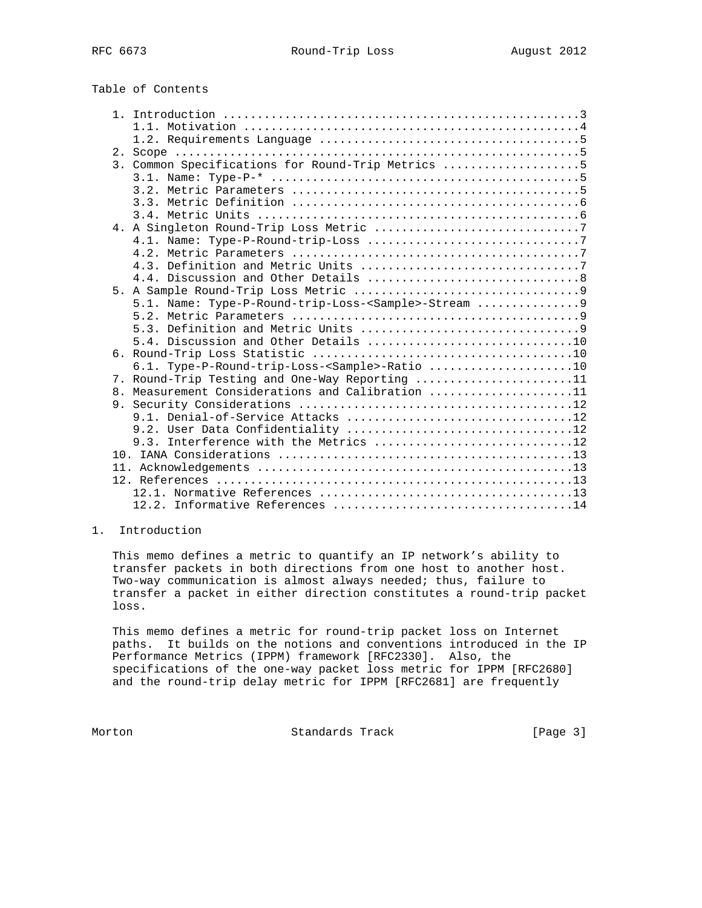Table of Contents

|  | 3. Common Specifications for Round-Trip Metrics 5             |
|--|---------------------------------------------------------------|
|  |                                                               |
|  |                                                               |
|  |                                                               |
|  |                                                               |
|  |                                                               |
|  |                                                               |
|  |                                                               |
|  |                                                               |
|  |                                                               |
|  |                                                               |
|  | 5.1. Name: Type-P-Round-trip-Loss- <sample>-Stream 9</sample> |
|  |                                                               |
|  |                                                               |
|  |                                                               |
|  |                                                               |
|  | 6.1. Type-P-Round-trip-Loss- <sample>-Ratio 10</sample>       |
|  | 7. Round-Trip Testing and One-Way Reporting 11                |
|  | 8. Measurement Considerations and Calibration 11              |
|  |                                                               |
|  |                                                               |
|  |                                                               |
|  | 9.3. Interference with the Metrics 12                         |
|  |                                                               |
|  |                                                               |
|  |                                                               |
|  |                                                               |
|  |                                                               |

# 1. Introduction

 This memo defines a metric to quantify an IP network's ability to transfer packets in both directions from one host to another host. Two-way communication is almost always needed; thus, failure to transfer a packet in either direction constitutes a round-trip packet loss.

 This memo defines a metric for round-trip packet loss on Internet paths. It builds on the notions and conventions introduced in the IP Performance Metrics (IPPM) framework [RFC2330]. Also, the specifications of the one-way packet loss metric for IPPM [RFC2680] and the round-trip delay metric for IPPM [RFC2681] are frequently

Morton **Standards Track** [Page 3]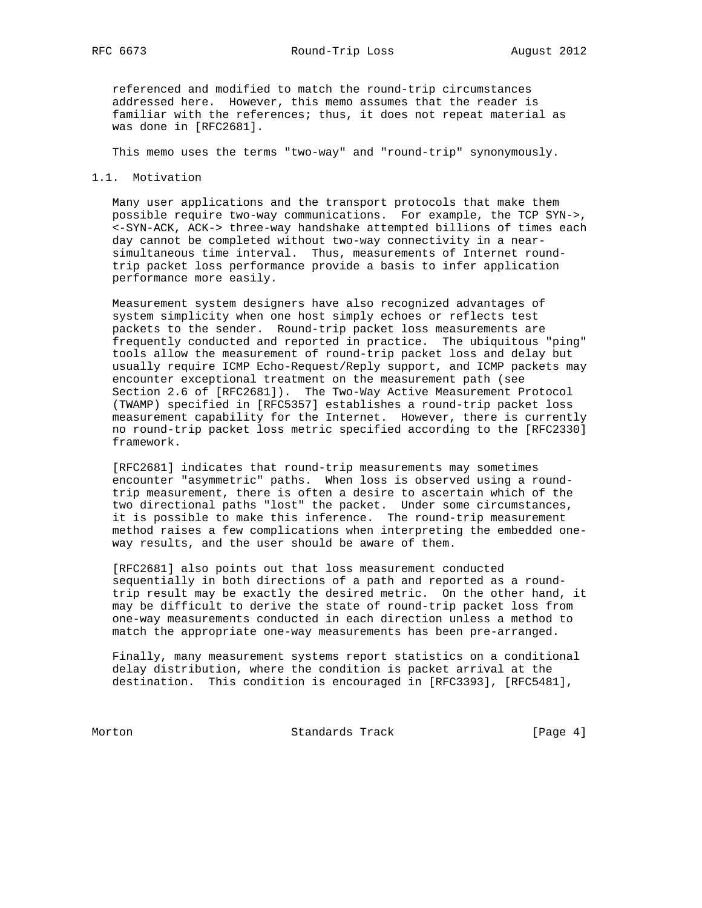RFC 6673 Round-Trip Loss August 2012

 referenced and modified to match the round-trip circumstances addressed here. However, this memo assumes that the reader is familiar with the references; thus, it does not repeat material as was done in [RFC2681].

This memo uses the terms "two-way" and "round-trip" synonymously.

## 1.1. Motivation

 Many user applications and the transport protocols that make them possible require two-way communications. For example, the TCP SYN->, <-SYN-ACK, ACK-> three-way handshake attempted billions of times each day cannot be completed without two-way connectivity in a near simultaneous time interval. Thus, measurements of Internet round trip packet loss performance provide a basis to infer application performance more easily.

 Measurement system designers have also recognized advantages of system simplicity when one host simply echoes or reflects test packets to the sender. Round-trip packet loss measurements are frequently conducted and reported in practice. The ubiquitous "ping" tools allow the measurement of round-trip packet loss and delay but usually require ICMP Echo-Request/Reply support, and ICMP packets may encounter exceptional treatment on the measurement path (see Section 2.6 of [RFC2681]). The Two-Way Active Measurement Protocol (TWAMP) specified in [RFC5357] establishes a round-trip packet loss measurement capability for the Internet. However, there is currently no round-trip packet loss metric specified according to the [RFC2330] framework.

 [RFC2681] indicates that round-trip measurements may sometimes encounter "asymmetric" paths. When loss is observed using a round trip measurement, there is often a desire to ascertain which of the two directional paths "lost" the packet. Under some circumstances, it is possible to make this inference. The round-trip measurement method raises a few complications when interpreting the embedded one way results, and the user should be aware of them.

 [RFC2681] also points out that loss measurement conducted sequentially in both directions of a path and reported as a round trip result may be exactly the desired metric. On the other hand, it may be difficult to derive the state of round-trip packet loss from one-way measurements conducted in each direction unless a method to match the appropriate one-way measurements has been pre-arranged.

 Finally, many measurement systems report statistics on a conditional delay distribution, where the condition is packet arrival at the destination. This condition is encouraged in [RFC3393], [RFC5481],

Morton Standards Track [Page 4]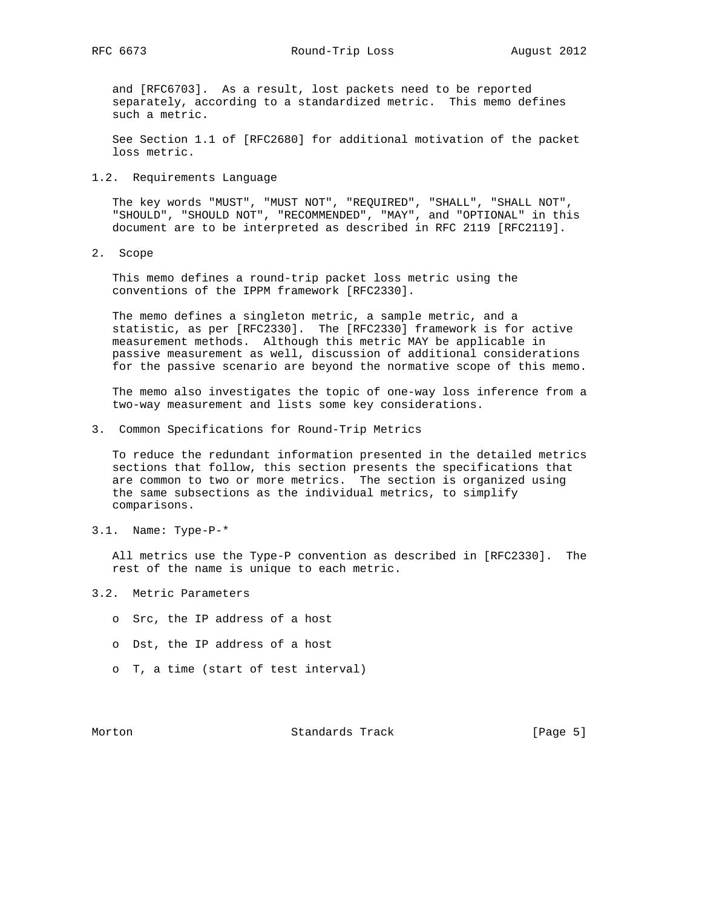and [RFC6703]. As a result, lost packets need to be reported separately, according to a standardized metric. This memo defines such a metric.

 See Section 1.1 of [RFC2680] for additional motivation of the packet loss metric.

1.2. Requirements Language

 The key words "MUST", "MUST NOT", "REQUIRED", "SHALL", "SHALL NOT", "SHOULD", "SHOULD NOT", "RECOMMENDED", "MAY", and "OPTIONAL" in this document are to be interpreted as described in RFC 2119 [RFC2119].

2. Scope

 This memo defines a round-trip packet loss metric using the conventions of the IPPM framework [RFC2330].

 The memo defines a singleton metric, a sample metric, and a statistic, as per [RFC2330]. The [RFC2330] framework is for active measurement methods. Although this metric MAY be applicable in passive measurement as well, discussion of additional considerations for the passive scenario are beyond the normative scope of this memo.

 The memo also investigates the topic of one-way loss inference from a two-way measurement and lists some key considerations.

3. Common Specifications for Round-Trip Metrics

 To reduce the redundant information presented in the detailed metrics sections that follow, this section presents the specifications that are common to two or more metrics. The section is organized using the same subsections as the individual metrics, to simplify comparisons.

3.1. Name: Type-P-\*

 All metrics use the Type-P convention as described in [RFC2330]. The rest of the name is unique to each metric.

- 3.2. Metric Parameters
	- o Src, the IP address of a host
	- o Dst, the IP address of a host
	- o T, a time (start of test interval)

Morton **Standards Track** [Page 5]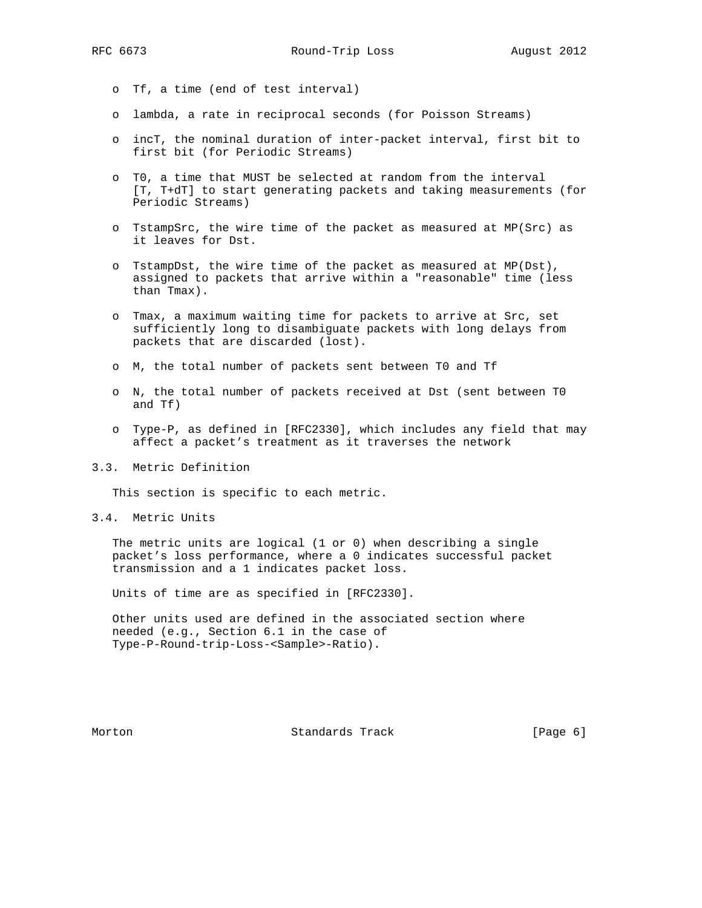- o Tf, a time (end of test interval)
- o lambda, a rate in reciprocal seconds (for Poisson Streams)
- o incT, the nominal duration of inter-packet interval, first bit to first bit (for Periodic Streams)
- o T0, a time that MUST be selected at random from the interval [T, T+dT] to start generating packets and taking measurements (for Periodic Streams)
- o TstampSrc, the wire time of the packet as measured at MP(Src) as it leaves for Dst.
- o TstampDst, the wire time of the packet as measured at MP(Dst), assigned to packets that arrive within a "reasonable" time (less than Tmax).
- o Tmax, a maximum waiting time for packets to arrive at Src, set sufficiently long to disambiguate packets with long delays from packets that are discarded (lost).
- o M, the total number of packets sent between T0 and Tf
- o N, the total number of packets received at Dst (sent between T0 and Tf)
- o Type-P, as defined in [RFC2330], which includes any field that may affect a packet's treatment as it traverses the network
- 3.3. Metric Definition

This section is specific to each metric.

3.4. Metric Units

 The metric units are logical (1 or 0) when describing a single packet's loss performance, where a 0 indicates successful packet transmission and a 1 indicates packet loss.

Units of time are as specified in [RFC2330].

 Other units used are defined in the associated section where needed (e.g., Section 6.1 in the case of Type-P-Round-trip-Loss-<Sample>-Ratio).

Morton **Standards Track** [Page 6]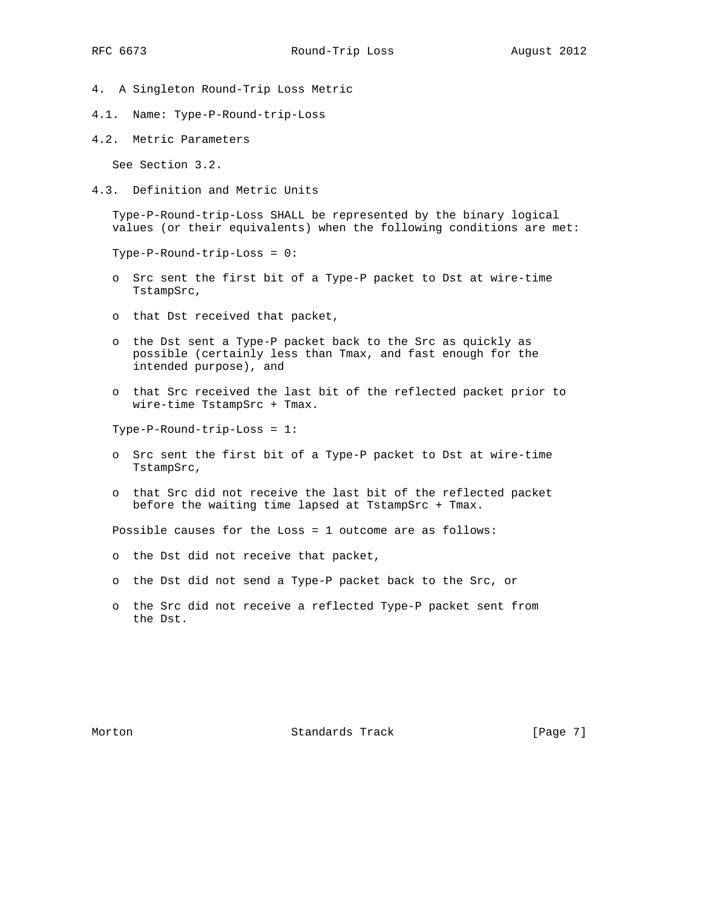- 4. A Singleton Round-Trip Loss Metric
- 4.1. Name: Type-P-Round-trip-Loss
- 4.2. Metric Parameters

See Section 3.2.

4.3. Definition and Metric Units

 Type-P-Round-trip-Loss SHALL be represented by the binary logical values (or their equivalents) when the following conditions are met:

Type-P-Round-trip-Loss = 0:

- o Src sent the first bit of a Type-P packet to Dst at wire-time TstampSrc,
- o that Dst received that packet,
- o the Dst sent a Type-P packet back to the Src as quickly as possible (certainly less than Tmax, and fast enough for the intended purpose), and
- o that Src received the last bit of the reflected packet prior to wire-time TstampSrc + Tmax.

Type-P-Round-trip-Loss = 1:

- o Src sent the first bit of a Type-P packet to Dst at wire-time TstampSrc,
- o that Src did not receive the last bit of the reflected packet before the waiting time lapsed at TstampSrc + Tmax.

Possible causes for the Loss = 1 outcome are as follows:

- o the Dst did not receive that packet,
- o the Dst did not send a Type-P packet back to the Src, or
- o the Src did not receive a reflected Type-P packet sent from the Dst.

Morton **Standards Track** [Page 7]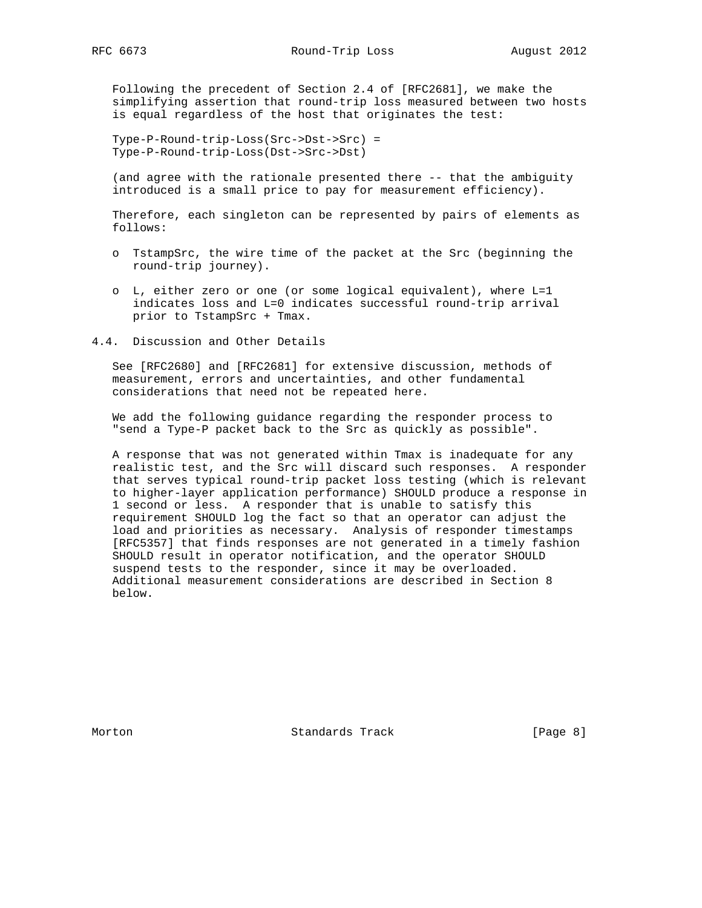RFC 6673 Round-Trip Loss August 2012

 Following the precedent of Section 2.4 of [RFC2681], we make the simplifying assertion that round-trip loss measured between two hosts is equal regardless of the host that originates the test:

 Type-P-Round-trip-Loss(Src->Dst->Src) = Type-P-Round-trip-Loss(Dst->Src->Dst)

 (and agree with the rationale presented there -- that the ambiguity introduced is a small price to pay for measurement efficiency).

 Therefore, each singleton can be represented by pairs of elements as follows:

- o TstampSrc, the wire time of the packet at the Src (beginning the round-trip journey).
- o L, either zero or one (or some logical equivalent), where L=1 indicates loss and L=0 indicates successful round-trip arrival prior to TstampSrc + Tmax.
- 4.4. Discussion and Other Details

 See [RFC2680] and [RFC2681] for extensive discussion, methods of measurement, errors and uncertainties, and other fundamental considerations that need not be repeated here.

 We add the following guidance regarding the responder process to "send a Type-P packet back to the Src as quickly as possible".

 A response that was not generated within Tmax is inadequate for any realistic test, and the Src will discard such responses. A responder that serves typical round-trip packet loss testing (which is relevant to higher-layer application performance) SHOULD produce a response in 1 second or less. A responder that is unable to satisfy this requirement SHOULD log the fact so that an operator can adjust the load and priorities as necessary. Analysis of responder timestamps [RFC5357] that finds responses are not generated in a timely fashion SHOULD result in operator notification, and the operator SHOULD suspend tests to the responder, since it may be overloaded. Additional measurement considerations are described in Section 8 below.

Morton **Standards Track Example 1** [Page 8]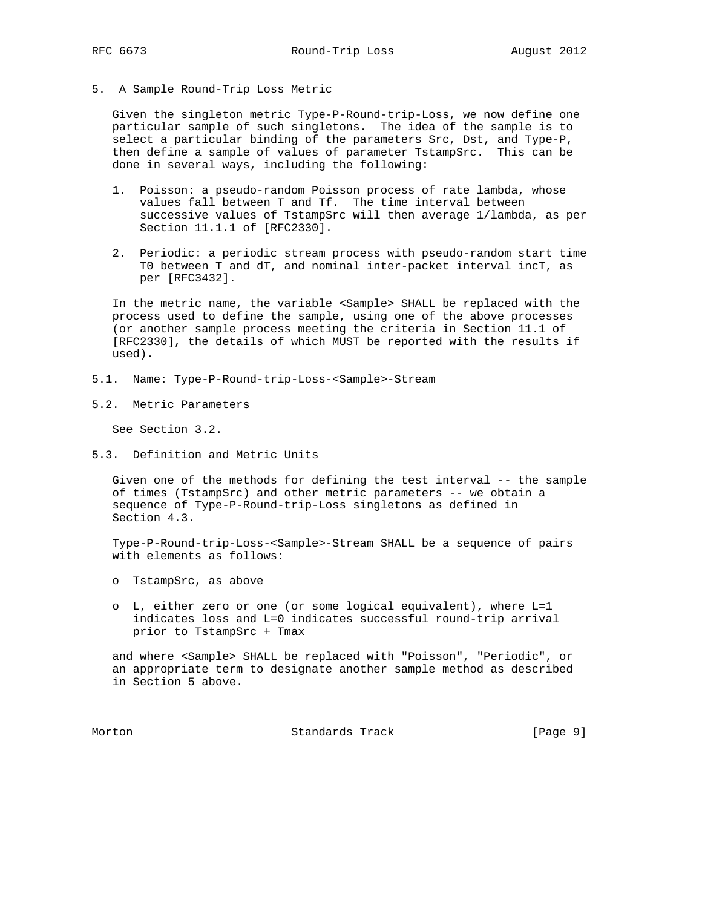5. A Sample Round-Trip Loss Metric

 Given the singleton metric Type-P-Round-trip-Loss, we now define one particular sample of such singletons. The idea of the sample is to select a particular binding of the parameters Src, Dst, and Type-P, then define a sample of values of parameter TstampSrc. This can be done in several ways, including the following:

- 1. Poisson: a pseudo-random Poisson process of rate lambda, whose values fall between T and Tf. The time interval between successive values of TstampSrc will then average 1/lambda, as per Section 11.1.1 of [RFC2330].
- 2. Periodic: a periodic stream process with pseudo-random start time T0 between T and dT, and nominal inter-packet interval incT, as per [RFC3432].

 In the metric name, the variable <Sample> SHALL be replaced with the process used to define the sample, using one of the above processes (or another sample process meeting the criteria in Section 11.1 of [RFC2330], the details of which MUST be reported with the results if used).

- 5.1. Name: Type-P-Round-trip-Loss-<Sample>-Stream
- 5.2. Metric Parameters

See Section 3.2.

5.3. Definition and Metric Units

 Given one of the methods for defining the test interval -- the sample of times (TstampSrc) and other metric parameters -- we obtain a sequence of Type-P-Round-trip-Loss singletons as defined in Section 4.3.

 Type-P-Round-trip-Loss-<Sample>-Stream SHALL be a sequence of pairs with elements as follows:

- o TstampSrc, as above
- o L, either zero or one (or some logical equivalent), where L=1 indicates loss and L=0 indicates successful round-trip arrival prior to TstampSrc + Tmax

 and where <Sample> SHALL be replaced with "Poisson", "Periodic", or an appropriate term to designate another sample method as described in Section 5 above.

Morton **Standards Track** [Page 9]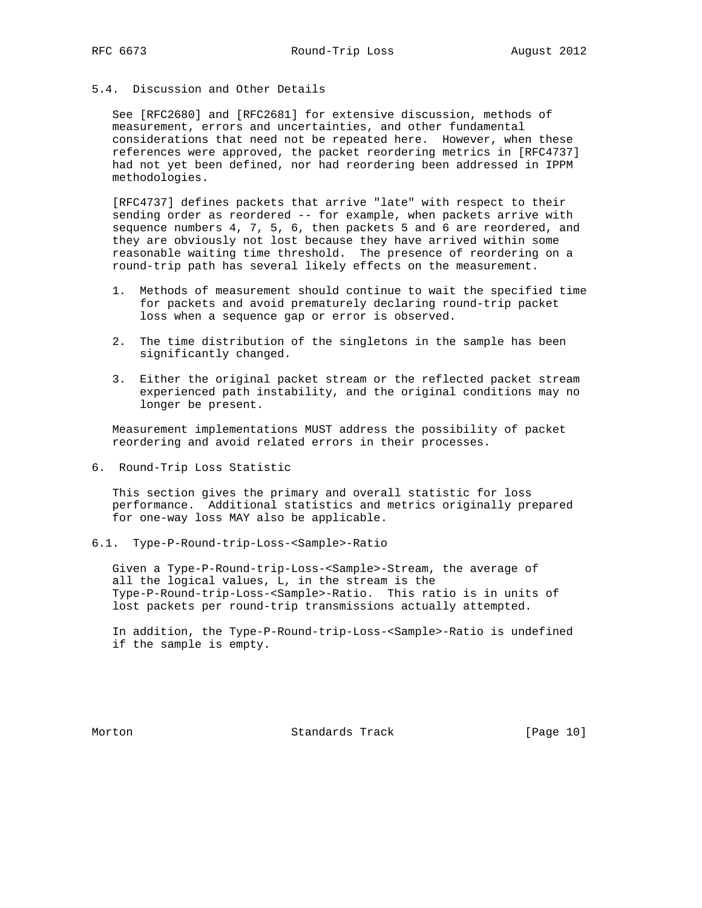# 5.4. Discussion and Other Details

 See [RFC2680] and [RFC2681] for extensive discussion, methods of measurement, errors and uncertainties, and other fundamental considerations that need not be repeated here. However, when these references were approved, the packet reordering metrics in [RFC4737] had not yet been defined, nor had reordering been addressed in IPPM methodologies.

 [RFC4737] defines packets that arrive "late" with respect to their sending order as reordered -- for example, when packets arrive with sequence numbers 4, 7, 5, 6, then packets 5 and 6 are reordered, and they are obviously not lost because they have arrived within some reasonable waiting time threshold. The presence of reordering on a round-trip path has several likely effects on the measurement.

- 1. Methods of measurement should continue to wait the specified time for packets and avoid prematurely declaring round-trip packet loss when a sequence gap or error is observed.
- 2. The time distribution of the singletons in the sample has been significantly changed.
- 3. Either the original packet stream or the reflected packet stream experienced path instability, and the original conditions may no longer be present.

 Measurement implementations MUST address the possibility of packet reordering and avoid related errors in their processes.

6. Round-Trip Loss Statistic

 This section gives the primary and overall statistic for loss performance. Additional statistics and metrics originally prepared for one-way loss MAY also be applicable.

6.1. Type-P-Round-trip-Loss-<Sample>-Ratio

 Given a Type-P-Round-trip-Loss-<Sample>-Stream, the average of all the logical values, L, in the stream is the Type-P-Round-trip-Loss-<Sample>-Ratio. This ratio is in units of lost packets per round-trip transmissions actually attempted.

 In addition, the Type-P-Round-trip-Loss-<Sample>-Ratio is undefined if the sample is empty.

Morton Standards Track [Page 10]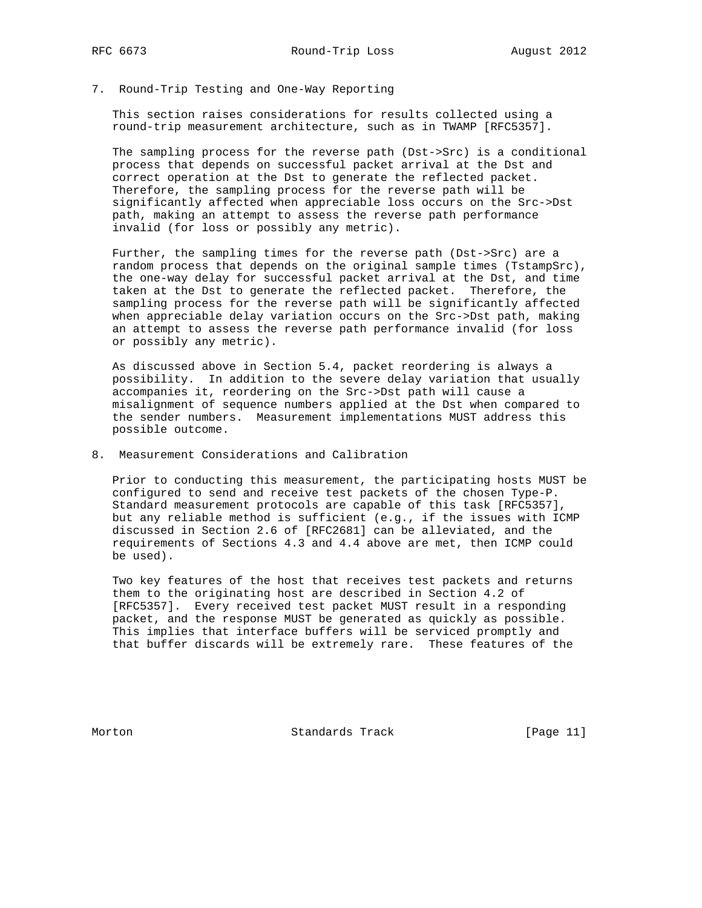7. Round-Trip Testing and One-Way Reporting

 This section raises considerations for results collected using a round-trip measurement architecture, such as in TWAMP [RFC5357].

 The sampling process for the reverse path (Dst->Src) is a conditional process that depends on successful packet arrival at the Dst and correct operation at the Dst to generate the reflected packet. Therefore, the sampling process for the reverse path will be significantly affected when appreciable loss occurs on the Src->Dst path, making an attempt to assess the reverse path performance invalid (for loss or possibly any metric).

 Further, the sampling times for the reverse path (Dst->Src) are a random process that depends on the original sample times (TstampSrc), the one-way delay for successful packet arrival at the Dst, and time taken at the Dst to generate the reflected packet. Therefore, the sampling process for the reverse path will be significantly affected when appreciable delay variation occurs on the Src->Dst path, making an attempt to assess the reverse path performance invalid (for loss or possibly any metric).

 As discussed above in Section 5.4, packet reordering is always a possibility. In addition to the severe delay variation that usually accompanies it, reordering on the Src->Dst path will cause a misalignment of sequence numbers applied at the Dst when compared to the sender numbers. Measurement implementations MUST address this possible outcome.

8. Measurement Considerations and Calibration

 Prior to conducting this measurement, the participating hosts MUST be configured to send and receive test packets of the chosen Type-P. Standard measurement protocols are capable of this task [RFC5357], but any reliable method is sufficient (e.g., if the issues with ICMP discussed in Section 2.6 of [RFC2681] can be alleviated, and the requirements of Sections 4.3 and 4.4 above are met, then ICMP could be used).

 Two key features of the host that receives test packets and returns them to the originating host are described in Section 4.2 of [RFC5357]. Every received test packet MUST result in a responding packet, and the response MUST be generated as quickly as possible. This implies that interface buffers will be serviced promptly and that buffer discards will be extremely rare. These features of the

Morton Standards Track [Page 11]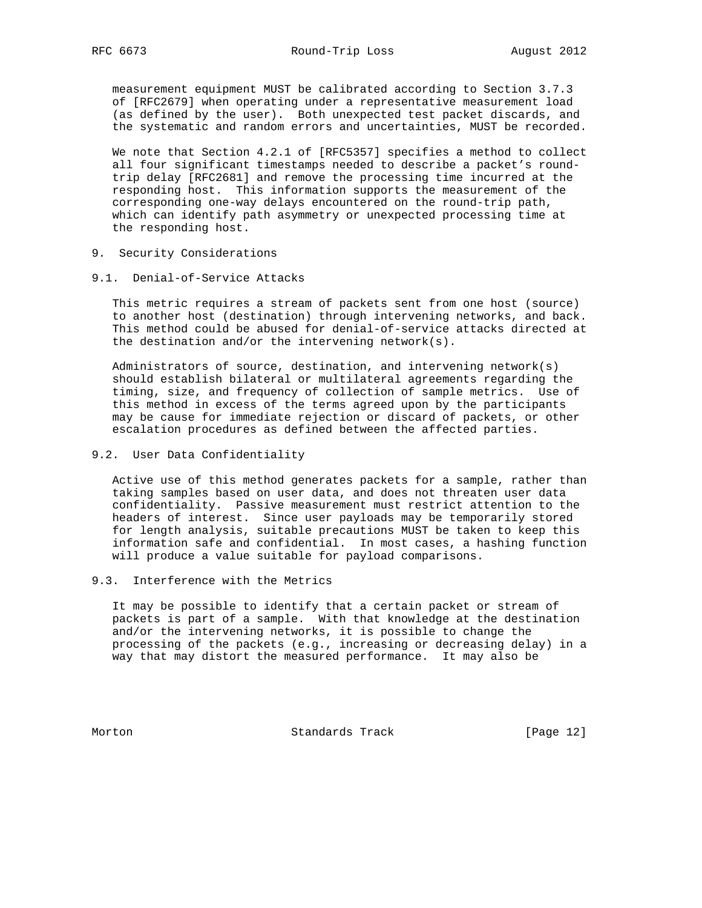measurement equipment MUST be calibrated according to Section 3.7.3 of [RFC2679] when operating under a representative measurement load (as defined by the user). Both unexpected test packet discards, and the systematic and random errors and uncertainties, MUST be recorded.

 We note that Section 4.2.1 of [RFC5357] specifies a method to collect all four significant timestamps needed to describe a packet's round trip delay [RFC2681] and remove the processing time incurred at the responding host. This information supports the measurement of the corresponding one-way delays encountered on the round-trip path, which can identify path asymmetry or unexpected processing time at the responding host.

- 9. Security Considerations
- 9.1. Denial-of-Service Attacks

 This metric requires a stream of packets sent from one host (source) to another host (destination) through intervening networks, and back. This method could be abused for denial-of-service attacks directed at the destination and/or the intervening network(s).

 Administrators of source, destination, and intervening network(s) should establish bilateral or multilateral agreements regarding the timing, size, and frequency of collection of sample metrics. Use of this method in excess of the terms agreed upon by the participants may be cause for immediate rejection or discard of packets, or other escalation procedures as defined between the affected parties.

9.2. User Data Confidentiality

 Active use of this method generates packets for a sample, rather than taking samples based on user data, and does not threaten user data confidentiality. Passive measurement must restrict attention to the headers of interest. Since user payloads may be temporarily stored for length analysis, suitable precautions MUST be taken to keep this information safe and confidential. In most cases, a hashing function will produce a value suitable for payload comparisons.

9.3. Interference with the Metrics

 It may be possible to identify that a certain packet or stream of packets is part of a sample. With that knowledge at the destination and/or the intervening networks, it is possible to change the processing of the packets (e.g., increasing or decreasing delay) in a way that may distort the measured performance. It may also be

Morton Standards Track [Page 12]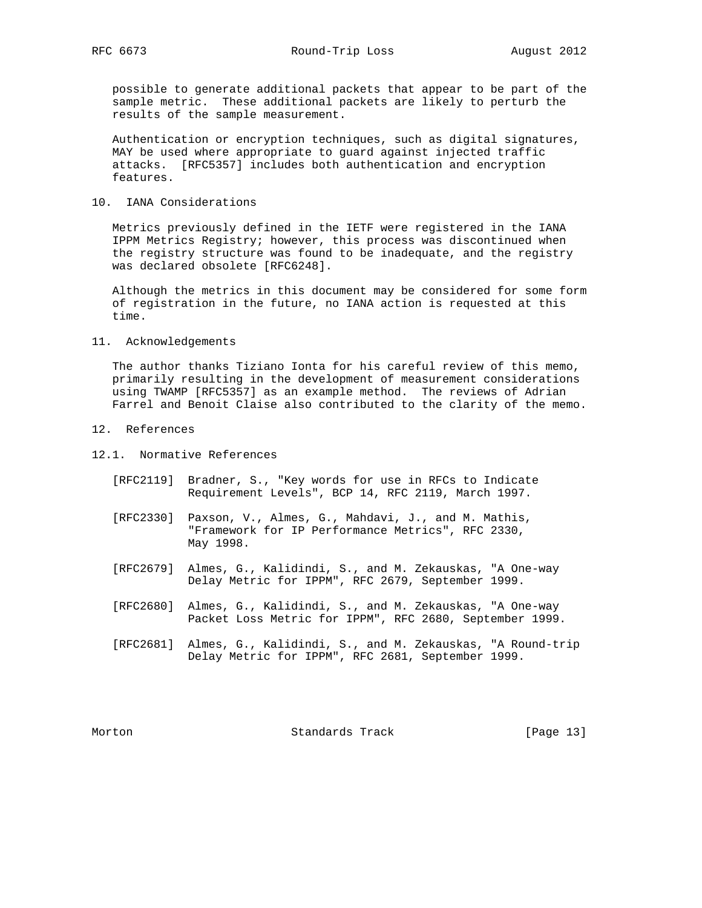possible to generate additional packets that appear to be part of the sample metric. These additional packets are likely to perturb the results of the sample measurement.

 Authentication or encryption techniques, such as digital signatures, MAY be used where appropriate to guard against injected traffic attacks. [RFC5357] includes both authentication and encryption features.

# 10. IANA Considerations

 Metrics previously defined in the IETF were registered in the IANA IPPM Metrics Registry; however, this process was discontinued when the registry structure was found to be inadequate, and the registry was declared obsolete [RFC6248].

 Although the metrics in this document may be considered for some form of registration in the future, no IANA action is requested at this time.

#### 11. Acknowledgements

 The author thanks Tiziano Ionta for his careful review of this memo, primarily resulting in the development of measurement considerations using TWAMP [RFC5357] as an example method. The reviews of Adrian Farrel and Benoit Claise also contributed to the clarity of the memo.

## 12. References

12.1. Normative References

- [RFC2119] Bradner, S., "Key words for use in RFCs to Indicate Requirement Levels", BCP 14, RFC 2119, March 1997.
- [RFC2330] Paxson, V., Almes, G., Mahdavi, J., and M. Mathis, "Framework for IP Performance Metrics", RFC 2330, May 1998.
- [RFC2679] Almes, G., Kalidindi, S., and M. Zekauskas, "A One-way Delay Metric for IPPM", RFC 2679, September 1999.
- [RFC2680] Almes, G., Kalidindi, S., and M. Zekauskas, "A One-way Packet Loss Metric for IPPM", RFC 2680, September 1999.
- [RFC2681] Almes, G., Kalidindi, S., and M. Zekauskas, "A Round-trip Delay Metric for IPPM", RFC 2681, September 1999.

Morton Standards Track [Page 13]